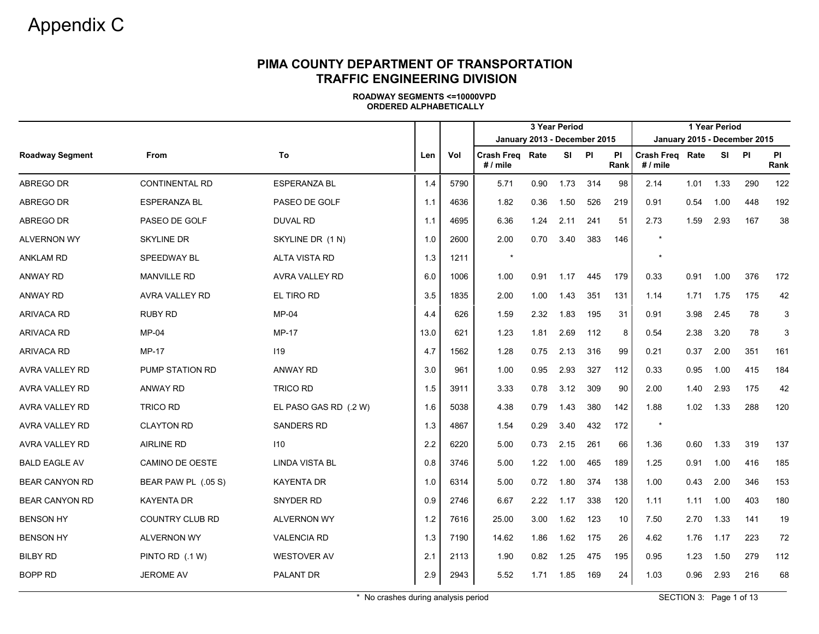|                        |                        |                       |      |      | 3 Year Period<br>January 2013 - December 2015 |      |       |     |                   |                                      |      | 1 Year Period |       |                   |
|------------------------|------------------------|-----------------------|------|------|-----------------------------------------------|------|-------|-----|-------------------|--------------------------------------|------|---------------|-------|-------------------|
|                        |                        |                       |      |      |                                               |      |       |     |                   | January 2015 - December 2015         |      |               |       |                   |
| <b>Roadway Segment</b> | <b>From</b>            | To                    | Len  | Vol  | <b>Crash Freg Rate</b><br>$# /$ mile          |      | SI PI |     | <b>PI</b><br>Rank | <b>Crash Freg Rate</b><br>$# /$ mile |      |               | SI PI | <b>PI</b><br>Rank |
| ABREGO DR              | <b>CONTINENTAL RD</b>  | <b>ESPERANZA BL</b>   | 1.4  | 5790 | 5.71                                          | 0.90 | 1.73  | 314 | 98                | 2.14                                 | 1.01 | 1.33          | 290   | 122               |
| ABREGO DR              | ESPERANZA BL           | PASEO DE GOLF         | 1.1  | 4636 | 1.82                                          | 0.36 | 1.50  | 526 | 219               | 0.91                                 | 0.54 | 1.00          | 448   | 192               |
| ABREGO DR              | PASEO DE GOLF          | DUVAL RD              | 1.1  | 4695 | 6.36                                          | 1.24 | 2.11  | 241 | 51                | 2.73                                 | 1.59 | 2.93          | 167   | 38                |
| <b>ALVERNON WY</b>     | <b>SKYLINE DR</b>      | SKYLINE DR (1 N)      | 1.0  | 2600 | 2.00                                          | 0.70 | 3.40  | 383 | 146               |                                      |      |               |       |                   |
| <b>ANKLAM RD</b>       | SPEEDWAY BL            | <b>ALTA VISTA RD</b>  | 1.3  | 1211 | $\star$                                       |      |       |     |                   |                                      |      |               |       |                   |
| <b>ANWAY RD</b>        | <b>MANVILLE RD</b>     | AVRA VALLEY RD        | 6.0  | 1006 | 1.00                                          | 0.91 | 1.17  | 445 | 179               | 0.33                                 | 0.91 | 1.00          | 376   | 172               |
| <b>ANWAY RD</b>        | AVRA VALLEY RD         | EL TIRO RD            | 3.5  | 1835 | 2.00                                          | 1.00 | 1.43  | 351 | 131               | 1.14                                 | 1.71 | 1.75          | 175   | 42                |
| <b>ARIVACA RD</b>      | <b>RUBY RD</b>         | MP-04                 | 4.4  | 626  | 1.59                                          | 2.32 | 1.83  | 195 | 31                | 0.91                                 | 3.98 | 2.45          | 78    | 3                 |
| <b>ARIVACA RD</b>      | <b>MP-04</b>           | <b>MP-17</b>          | 13.0 | 621  | 1.23                                          | 1.81 | 2.69  | 112 | 8                 | 0.54                                 | 2.38 | 3.20          | 78    | 3                 |
| <b>ARIVACA RD</b>      | <b>MP-17</b>           | 119                   | 4.7  | 1562 | 1.28                                          | 0.75 | 2.13  | 316 | 99                | 0.21                                 | 0.37 | 2.00          | 351   | 161               |
| <b>AVRA VALLEY RD</b>  | <b>PUMP STATION RD</b> | <b>ANWAY RD</b>       | 3.0  | 961  | 1.00                                          | 0.95 | 2.93  | 327 | 112               | 0.33                                 | 0.95 | 1.00          | 415   | 184               |
| AVRA VALLEY RD         | <b>ANWAY RD</b>        | <b>TRICO RD</b>       | 1.5  | 3911 | 3.33                                          | 0.78 | 3.12  | 309 | 90                | 2.00                                 | 1.40 | 2.93          | 175   | 42                |
| AVRA VALLEY RD         | <b>TRICO RD</b>        | EL PASO GAS RD (.2 W) | 1.6  | 5038 | 4.38                                          | 0.79 | 1.43  | 380 | 142               | 1.88                                 | 1.02 | 1.33          | 288   | 120               |
| AVRA VALLEY RD         | <b>CLAYTON RD</b>      | <b>SANDERS RD</b>     | 1.3  | 4867 | 1.54                                          | 0.29 | 3.40  | 432 | 172               | $\star$                              |      |               |       |                   |
| <b>AVRA VALLEY RD</b>  | <b>AIRLINE RD</b>      | 110                   | 2.2  | 6220 | 5.00                                          | 0.73 | 2.15  | 261 | 66                | 1.36                                 | 0.60 | 1.33          | 319   | 137               |
| <b>BALD EAGLE AV</b>   | <b>CAMINO DE OESTE</b> | <b>LINDA VISTA BL</b> | 0.8  | 3746 | 5.00                                          | 1.22 | 1.00  | 465 | 189               | 1.25                                 | 0.91 | 1.00          | 416   | 185               |
| <b>BEAR CANYON RD</b>  | BEAR PAW PL (.05 S)    | <b>KAYENTA DR</b>     | 1.0  | 6314 | 5.00                                          | 0.72 | 1.80  | 374 | 138               | 1.00                                 | 0.43 | 2.00          | 346   | 153               |
| <b>BEAR CANYON RD</b>  | <b>KAYENTA DR</b>      | <b>SNYDER RD</b>      | 0.9  | 2746 | 6.67                                          | 2.22 | 1.17  | 338 | 120               | 1.11                                 | 1.11 | 1.00          | 403   | 180               |
| <b>BENSON HY</b>       | <b>COUNTRY CLUB RD</b> | <b>ALVERNON WY</b>    | 1.2  | 7616 | 25.00                                         | 3.00 | 1.62  | 123 | 10                | 7.50                                 | 2.70 | 1.33          | 141   | 19                |
| <b>BENSON HY</b>       | <b>ALVERNON WY</b>     | <b>VALENCIA RD</b>    | 1.3  | 7190 | 14.62                                         | 1.86 | 1.62  | 175 | 26                | 4.62                                 | 1.76 | 1.17          | 223   | 72                |
| <b>BILBY RD</b>        | PINTO RD (.1 W)        | WESTOVER AV           | 2.1  | 2113 | 1.90                                          | 0.82 | 1.25  | 475 | 195               | 0.95                                 | 1.23 | 1.50          | 279   | 112               |
| <b>BOPP RD</b>         | JEROME AV              | PALANT DR             | 2.9  | 2943 | 5.52                                          | 1.71 | 1.85  | 169 | 24                | 1.03                                 | 0.96 | 2.93          | 216   | 68                |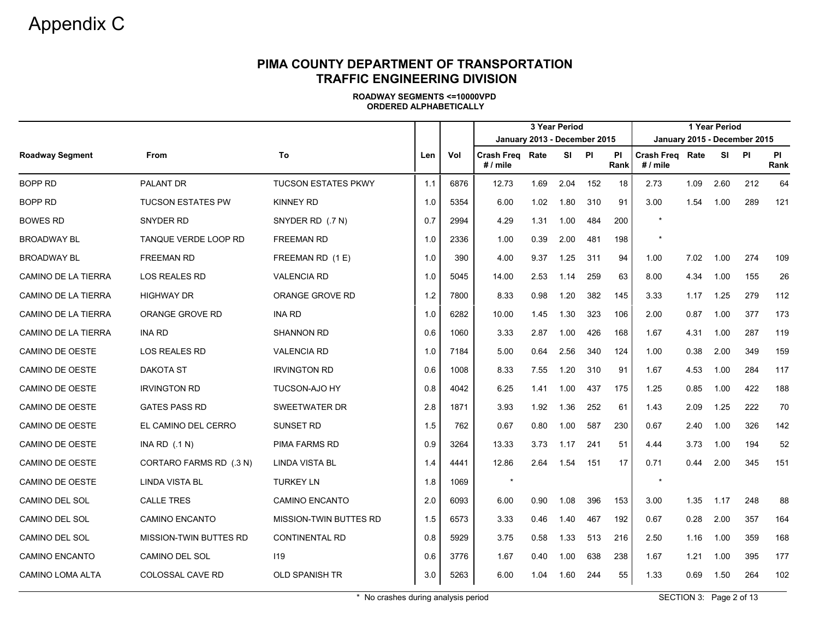|                            |                          |                            |     |      |                              |      | 3 Year Period |     |                   |                               |      | 1 Year Period |                              |                   |
|----------------------------|--------------------------|----------------------------|-----|------|------------------------------|------|---------------|-----|-------------------|-------------------------------|------|---------------|------------------------------|-------------------|
|                            |                          |                            |     |      | January 2013 - December 2015 |      |               |     |                   |                               |      |               | January 2015 - December 2015 |                   |
| <b>Roadway Segment</b>     | <b>From</b>              | To                         | Len | Vol  | Crash Freg Rate<br># / mile  |      | SI PI         |     | <b>PI</b><br>Rank | Crash Freq Rate<br>$# /$ mile |      |               | SI PI                        | <b>PI</b><br>Rank |
| <b>BOPP RD</b>             | <b>PALANT DR</b>         | <b>TUCSON ESTATES PKWY</b> | 1.1 | 6876 | 12.73                        | 1.69 | 2.04          | 152 | 18                | 2.73                          | 1.09 | 2.60          | 212                          | 64                |
| BOPP RD                    | <b>TUCSON ESTATES PW</b> | <b>KINNEY RD</b>           | 1.0 | 5354 | 6.00                         | 1.02 | 1.80          | 310 | 91                | 3.00                          | 1.54 | 1.00          | 289                          | 121               |
| <b>BOWES RD</b>            | SNYDER RD                | SNYDER RD (.7 N)           | 0.7 | 2994 | 4.29                         | 1.31 | 1.00          | 484 | 200               | $\star$                       |      |               |                              |                   |
| <b>BROADWAY BL</b>         | TANQUE VERDE LOOP RD     | <b>FREEMAN RD</b>          | 1.0 | 2336 | 1.00                         | 0.39 | 2.00          | 481 | 198               | $\star$                       |      |               |                              |                   |
| <b>BROADWAY BL</b>         | <b>FREEMAN RD</b>        | FREEMAN RD (1E)            | 1.0 | 390  | 4.00                         | 9.37 | 1.25          | 311 | 94                | 1.00                          | 7.02 | 1.00          | 274                          | 109               |
| CAMINO DE LA TIERRA        | <b>LOS REALES RD</b>     | <b>VALENCIA RD</b>         | 1.0 | 5045 | 14.00                        | 2.53 | 1.14          | 259 | 63                | 8.00                          | 4.34 | 1.00          | 155                          | 26                |
| CAMINO DE LA TIERRA        | <b>HIGHWAY DR</b>        | ORANGE GROVE RD            | 1.2 | 7800 | 8.33                         | 0.98 | 1.20          | 382 | 145               | 3.33                          | 1.17 | 1.25          | 279                          | 112               |
| CAMINO DE LA TIERRA        | ORANGE GROVE RD          | <b>INA RD</b>              | 1.0 | 6282 | 10.00                        | 1.45 | 1.30          | 323 | 106               | 2.00                          | 0.87 | 1.00          | 377                          | 173               |
| <b>CAMINO DE LA TIERRA</b> | <b>INA RD</b>            | <b>SHANNON RD</b>          | 0.6 | 1060 | 3.33                         | 2.87 | 1.00          | 426 | 168               | 1.67                          | 4.31 | 1.00          | 287                          | 119               |
| <b>CAMINO DE OESTE</b>     | <b>LOS REALES RD</b>     | <b>VALENCIA RD</b>         | 1.0 | 7184 | 5.00                         | 0.64 | 2.56          | 340 | 124               | 1.00                          | 0.38 | 2.00          | 349                          | 159               |
| <b>CAMINO DE OESTE</b>     | <b>DAKOTA ST</b>         | <b>IRVINGTON RD</b>        | 0.6 | 1008 | 8.33                         | 7.55 | 1.20          | 310 | 91                | 1.67                          | 4.53 | 1.00          | 284                          | 117               |
| <b>CAMINO DE OESTE</b>     | <b>IRVINGTON RD</b>      | <b>TUCSON-AJO HY</b>       | 0.8 | 4042 | 6.25                         | 1.41 | 1.00          | 437 | 175               | 1.25                          | 0.85 | 1.00          | 422                          | 188               |
| <b>CAMINO DE OESTE</b>     | <b>GATES PASS RD</b>     | <b>SWEETWATER DR</b>       | 2.8 | 1871 | 3.93                         | 1.92 | 1.36          | 252 | 61                | 1.43                          | 2.09 | 1.25          | 222                          | 70                |
| CAMINO DE OESTE            | EL CAMINO DEL CERRO      | <b>SUNSET RD</b>           | 1.5 | 762  | 0.67                         | 0.80 | 1.00          | 587 | 230               | 0.67                          | 2.40 | 1.00          | 326                          | 142               |
| <b>CAMINO DE OESTE</b>     | INA RD $(.1 N)$          | <b>PIMA FARMS RD</b>       | 0.9 | 3264 | 13.33                        | 3.73 | 1.17          | 241 | 51                | 4.44                          | 3.73 | 1.00          | 194                          | 52                |
| <b>CAMINO DE OESTE</b>     | CORTARO FARMS RD (.3 N)  | <b>LINDA VISTA BL</b>      | 1.4 | 4441 | 12.86                        | 2.64 | 1.54          | 151 | 17                | 0.71                          | 0.44 | 2.00          | 345                          | 151               |
| <b>CAMINO DE OESTE</b>     | <b>LINDA VISTA BL</b>    | <b>TURKEY LN</b>           | 1.8 | 1069 | $\star$                      |      |               |     |                   | $\star$                       |      |               |                              |                   |
| CAMINO DEL SOL             | <b>CALLE TRES</b>        | <b>CAMINO ENCANTO</b>      | 2.0 | 6093 | 6.00                         | 0.90 | 1.08          | 396 | 153               | 3.00                          | 1.35 | 1.17          | 248                          | 88                |
| <b>CAMINO DEL SOL</b>      | <b>CAMINO ENCANTO</b>    | MISSION-TWIN BUTTES RD     | 1.5 | 6573 | 3.33                         | 0.46 | 1.40          | 467 | 192               | 0.67                          | 0.28 | 2.00          | 357                          | 164               |
| CAMINO DEL SOL             | MISSION-TWIN BUTTES RD   | <b>CONTINENTAL RD</b>      | 0.8 | 5929 | 3.75                         | 0.58 | 1.33          | 513 | 216               | 2.50                          | 1.16 | 1.00          | 359                          | 168               |
| <b>CAMINO ENCANTO</b>      | CAMINO DEL SOL           | 119                        | 0.6 | 3776 | 1.67                         | 0.40 | 1.00          | 638 | 238               | 1.67                          | 1.21 | 1.00          | 395                          | 177               |
| CAMINO LOMA ALTA           | <b>COLOSSAL CAVE RD</b>  | <b>OLD SPANISH TR</b>      | 3.0 | 5263 | 6.00                         | 1.04 | 1.60          | 244 | 55                | 1.33                          | 0.69 | 1.50          | 264                          | 102               |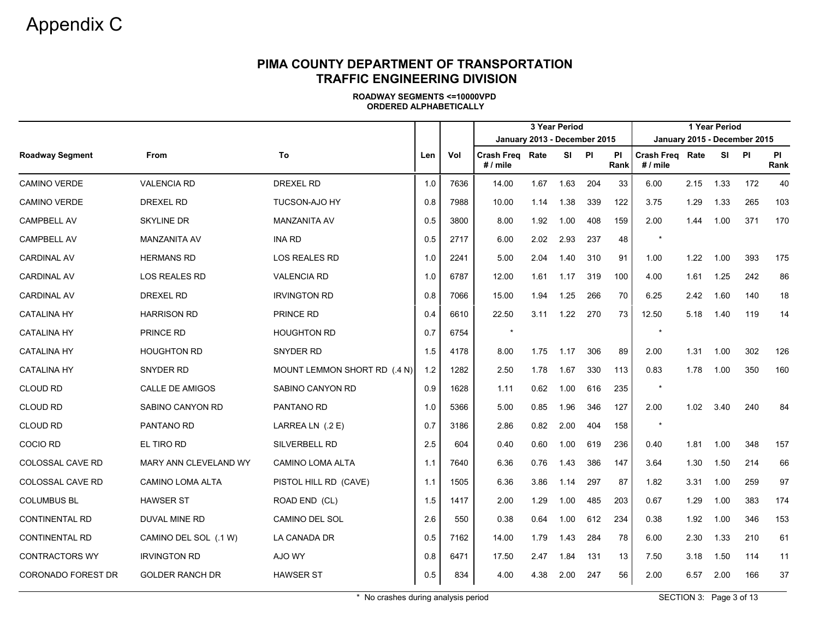# Appendix <sup>C</sup>

# **PIMA COUNTY DEPARTMENT OF TRANSPORTATION TRAFFIC ENGINEERING DIVISION**

|                           |                         |                              |     |      | January 2013 - December 2015  |      | 3 Year Period |     |            |                             |      | 1 Year Period | January 2015 - December 2015 |            |
|---------------------------|-------------------------|------------------------------|-----|------|-------------------------------|------|---------------|-----|------------|-----------------------------|------|---------------|------------------------------|------------|
| <b>Roadway Segment</b>    | From                    | To                           | Len | Vol  | Crash Freq Rate<br>$# /$ mile |      | SI.           | PI  | PI<br>Rank | Crash Freg Rate<br># / mile |      | <b>SI</b>     | PI                           | PI<br>Rank |
| <b>CAMINO VERDE</b>       | <b>VALENCIA RD</b>      | <b>DREXEL RD</b>             | 1.0 | 7636 | 14.00                         | 1.67 | 1.63          | 204 | 33         | 6.00                        | 2.15 | 1.33          | 172                          | 40         |
| <b>CAMINO VERDE</b>       | <b>DREXEL RD</b>        | TUCSON-AJO HY                | 0.8 | 7988 | 10.00                         | 1.14 | 1.38          | 339 | 122        | 3.75                        | 1.29 | 1.33          | 265                          | 103        |
| <b>CAMPBELL AV</b>        | <b>SKYLINE DR</b>       | <b>MANZANITA AV</b>          | 0.5 | 3800 | 8.00                          | 1.92 | 1.00          | 408 | 159        | 2.00                        | 1.44 | 1.00          | 371                          | 170        |
| CAMPBELL AV               | <b>MANZANITA AV</b>     | <b>INA RD</b>                | 0.5 | 2717 | 6.00                          | 2.02 | 2.93          | 237 | 48         | $\star$                     |      |               |                              |            |
| <b>CARDINAL AV</b>        | <b>HERMANS RD</b>       | LOS REALES RD                | 1.0 | 2241 | 5.00                          | 2.04 | 1.40          | 310 | 91         | 1.00                        | 1.22 | 1.00          | 393                          | 175        |
| <b>CARDINAL AV</b>        | <b>LOS REALES RD</b>    | <b>VALENCIA RD</b>           | 1.0 | 6787 | 12.00                         | 1.61 | 1.17          | 319 | 100        | 4.00                        | 1.61 | 1.25          | 242                          | 86         |
| <b>CARDINAL AV</b>        | <b>DREXEL RD</b>        | <b>IRVINGTON RD</b>          | 0.8 | 7066 | 15.00                         | 1.94 | 1.25          | 266 | 70         | 6.25                        | 2.42 | 1.60          | 140                          | 18         |
| <b>CATALINA HY</b>        | <b>HARRISON RD</b>      | PRINCE RD                    | 0.4 | 6610 | 22.50                         | 3.11 | 1.22          | 270 | 73         | 12.50                       | 5.18 | 1.40          | 119                          | 14         |
| <b>CATALINA HY</b>        | PRINCE RD               | <b>HOUGHTON RD</b>           | 0.7 | 6754 |                               |      |               |     |            | $\star$                     |      |               |                              |            |
| <b>CATALINA HY</b>        | <b>HOUGHTON RD</b>      | SNYDER RD                    | 1.5 | 4178 | 8.00                          | 1.75 | 1.17          | 306 | 89         | 2.00                        | 1.31 | 1.00          | 302                          | 126        |
| <b>CATALINA HY</b>        | SNYDER RD               | MOUNT LEMMON SHORT RD (.4 N) | 1.2 | 1282 | 2.50                          | 1.78 | 1.67          | 330 | 113        | 0.83                        | 1.78 | 1.00          | 350                          | 160        |
| <b>CLOUD RD</b>           | CALLE DE AMIGOS         | SABINO CANYON RD             | 0.9 | 1628 | 1.11                          | 0.62 | 1.00          | 616 | 235        | $\star$                     |      |               |                              |            |
| <b>CLOUD RD</b>           | SABINO CANYON RD        | PANTANO RD                   | 1.0 | 5366 | 5.00                          | 0.85 | 1.96          | 346 | 127        | 2.00                        | 1.02 | 3.40          | 240                          | 84         |
| <b>CLOUD RD</b>           | PANTANO RD              | LARREA LN (.2 E)             | 0.7 | 3186 | 2.86                          | 0.82 | 2.00          | 404 | 158        | $\star$                     |      |               |                              |            |
| <b>COCIO RD</b>           | EL TIRO RD              | <b>SILVERBELL RD</b>         | 2.5 | 604  | 0.40                          | 0.60 | 1.00          | 619 | 236        | 0.40                        | 1.81 | 1.00          | 348                          | 157        |
| <b>COLOSSAL CAVE RD</b>   | MARY ANN CLEVELAND WY   | <b>CAMINO LOMA ALTA</b>      | 1.1 | 7640 | 6.36                          | 0.76 | 1.43          | 386 | 147        | 3.64                        | 1.30 | 1.50          | 214                          | 66         |
| <b>COLOSSAL CAVE RD</b>   | <b>CAMINO LOMA ALTA</b> | PISTOL HILL RD (CAVE)        | 1.1 | 1505 | 6.36                          | 3.86 | 1.14          | 297 | 87         | 1.82                        | 3.31 | 1.00          | 259                          | 97         |
| <b>COLUMBUS BL</b>        | <b>HAWSER ST</b>        | ROAD END (CL)                | 1.5 | 1417 | 2.00                          | 1.29 | 1.00          | 485 | 203        | 0.67                        | 1.29 | 1.00          | 383                          | 174        |
| <b>CONTINENTAL RD</b>     | DUVAL MINE RD           | CAMINO DEL SOL               | 2.6 | 550  | 0.38                          | 0.64 | 1.00          | 612 | 234        | 0.38                        | 1.92 | 1.00          | 346                          | 153        |
| <b>CONTINENTAL RD</b>     | CAMINO DEL SOL (.1 W)   | LA CANADA DR                 | 0.5 | 7162 | 14.00                         | 1.79 | 1.43          | 284 | 78         | 6.00                        | 2.30 | 1.33          | 210                          | 61         |
| <b>CONTRACTORS WY</b>     | <b>IRVINGTON RD</b>     | AJO WY                       | 0.8 | 6471 | 17.50                         | 2.47 | 1.84          | 131 | 13         | 7.50                        | 3.18 | 1.50          | 114                          | 11         |
| <b>CORONADO FOREST DR</b> | <b>GOLDER RANCH DR</b>  | <b>HAWSER ST</b>             | 0.5 | 834  | 4.00                          | 4.38 | 2.00          | 247 | 56         | 2.00                        | 6.57 | 2.00          | 166                          | 37         |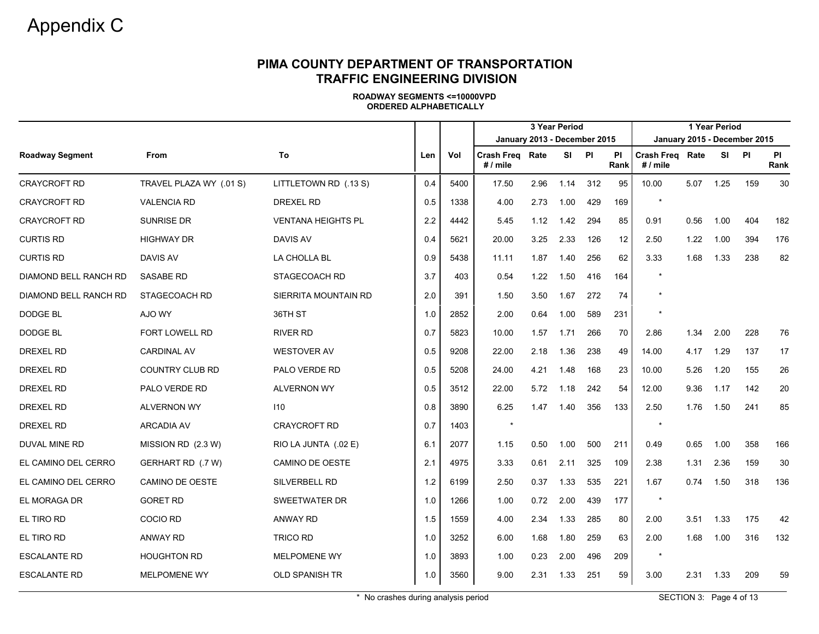|                        |                         |                           |     |      | 3 Year Period<br>January 2013 - December 2015 |      |       |     |                   |                                    |      | 1 Year Period |                              |            |
|------------------------|-------------------------|---------------------------|-----|------|-----------------------------------------------|------|-------|-----|-------------------|------------------------------------|------|---------------|------------------------------|------------|
|                        |                         |                           |     |      |                                               |      |       |     |                   |                                    |      |               | January 2015 - December 2015 |            |
| <b>Roadway Segment</b> | <b>From</b>             | To                        | Len | Vol  | Crash Freg Rate<br># / mile                   |      | SI PI |     | <b>PI</b><br>Rank | <b>Crash Freq Rate</b><br># / mile |      | SI            | <b>PI</b>                    | PI<br>Rank |
| <b>CRAYCROFT RD</b>    | TRAVEL PLAZA WY (.01 S) | LITTLETOWN RD (.13 S)     | 0.4 | 5400 | 17.50                                         | 2.96 | 1.14  | 312 | 95                | 10.00                              | 5.07 | 1.25          | 159                          | 30         |
| <b>CRAYCROFT RD</b>    | <b>VALENCIA RD</b>      | DREXEL RD                 | 0.5 | 1338 | 4.00                                          | 2.73 | 1.00  | 429 | 169               |                                    |      |               |                              |            |
| <b>CRAYCROFT RD</b>    | <b>SUNRISE DR</b>       | <b>VENTANA HEIGHTS PL</b> | 2.2 | 4442 | 5.45                                          | 1.12 | 1.42  | 294 | 85                | 0.91                               | 0.56 | 1.00          | 404                          | 182        |
| <b>CURTIS RD</b>       | <b>HIGHWAY DR</b>       | <b>DAVIS AV</b>           | 0.4 | 5621 | 20.00                                         | 3.25 | 2.33  | 126 | 12                | 2.50                               | 1.22 | 1.00          | 394                          | 176        |
| <b>CURTIS RD</b>       | <b>DAVIS AV</b>         | LA CHOLLA BL              | 0.9 | 5438 | 11.11                                         | 1.87 | 1.40  | 256 | 62                | 3.33                               | 1.68 | 1.33          | 238                          | 82         |
| DIAMOND BELL RANCH RD  | <b>SASABE RD</b>        | STAGECOACH RD             | 3.7 | 403  | 0.54                                          | 1.22 | 1.50  | 416 | 164               | $\star$                            |      |               |                              |            |
| DIAMOND BELL RANCH RD  | STAGECOACH RD           | SIERRITA MOUNTAIN RD      | 2.0 | 391  | 1.50                                          | 3.50 | 1.67  | 272 | 74                |                                    |      |               |                              |            |
| DODGE BL               | AJO WY                  | 36TH ST                   | 1.0 | 2852 | 2.00                                          | 0.64 | 1.00  | 589 | 231               |                                    |      |               |                              |            |
| DODGE BL               | FORT LOWELL RD          | <b>RIVER RD</b>           | 0.7 | 5823 | 10.00                                         | 1.57 | 1.71  | 266 | 70                | 2.86                               | 1.34 | 2.00          | 228                          | 76         |
| <b>DREXEL RD</b>       | <b>CARDINAL AV</b>      | <b>WESTOVER AV</b>        | 0.5 | 9208 | 22.00                                         | 2.18 | 1.36  | 238 | 49                | 14.00                              | 4.17 | 1.29          | 137                          | 17         |
| <b>DREXEL RD</b>       | <b>COUNTRY CLUB RD</b>  | PALO VERDE RD             | 0.5 | 5208 | 24.00                                         | 4.21 | 1.48  | 168 | 23                | 10.00                              | 5.26 | 1.20          | 155                          | 26         |
| DREXEL RD              | PALO VERDE RD           | <b>ALVERNON WY</b>        | 0.5 | 3512 | 22.00                                         | 5.72 | 1.18  | 242 | 54                | 12.00                              | 9.36 | 1.17          | 142                          | 20         |
| <b>DREXEL RD</b>       | <b>ALVERNON WY</b>      | 110                       | 0.8 | 3890 | 6.25                                          | 1.47 | 1.40  | 356 | 133               | 2.50                               | 1.76 | 1.50          | 241                          | 85         |
| DREXEL RD              | <b>ARCADIA AV</b>       | <b>CRAYCROFT RD</b>       | 0.7 | 1403 | $\star$                                       |      |       |     |                   | $\star$                            |      |               |                              |            |
| DUVAL MINE RD          | MISSION RD (2.3 W)      | RIO LA JUNTA (.02 E)      | 6.1 | 2077 | 1.15                                          | 0.50 | 1.00  | 500 | 211               | 0.49                               | 0.65 | 1.00          | 358                          | 166        |
| EL CAMINO DEL CERRO    | GERHART RD (.7 W)       | CAMINO DE OESTE           | 2.1 | 4975 | 3.33                                          | 0.61 | 2.11  | 325 | 109               | 2.38                               | 1.31 | 2.36          | 159                          | 30         |
| EL CAMINO DEL CERRO    | CAMINO DE OESTE         | SILVERBELL RD             | 1.2 | 6199 | 2.50                                          | 0.37 | 1.33  | 535 | 221               | 1.67                               | 0.74 | 1.50          | 318                          | 136        |
| EL MORAGA DR           | <b>GORET RD</b>         | <b>SWEETWATER DR</b>      | 1.0 | 1266 | 1.00                                          | 0.72 | 2.00  | 439 | 177               |                                    |      |               |                              |            |
| EL TIRO RD             | COCIO RD                | <b>ANWAY RD</b>           | 1.5 | 1559 | 4.00                                          | 2.34 | 1.33  | 285 | 80                | 2.00                               | 3.51 | 1.33          | 175                          | 42         |
| EL TIRO RD             | <b>ANWAY RD</b>         | <b>TRICO RD</b>           | 1.0 | 3252 | 6.00                                          | 1.68 | 1.80  | 259 | 63                | 2.00                               | 1.68 | 1.00          | 316                          | 132        |
| <b>ESCALANTE RD</b>    | <b>HOUGHTON RD</b>      | <b>MELPOMENE WY</b>       | 1.0 | 3893 | 1.00                                          | 0.23 | 2.00  | 496 | 209               | $\star$                            |      |               |                              |            |
| <b>ESCALANTE RD</b>    | <b>MELPOMENE WY</b>     | <b>OLD SPANISH TR</b>     | 1.0 | 3560 | 9.00                                          | 2.31 | 1.33  | 251 | 59                | 3.00                               | 2.31 | 1.33          | 209                          | 59         |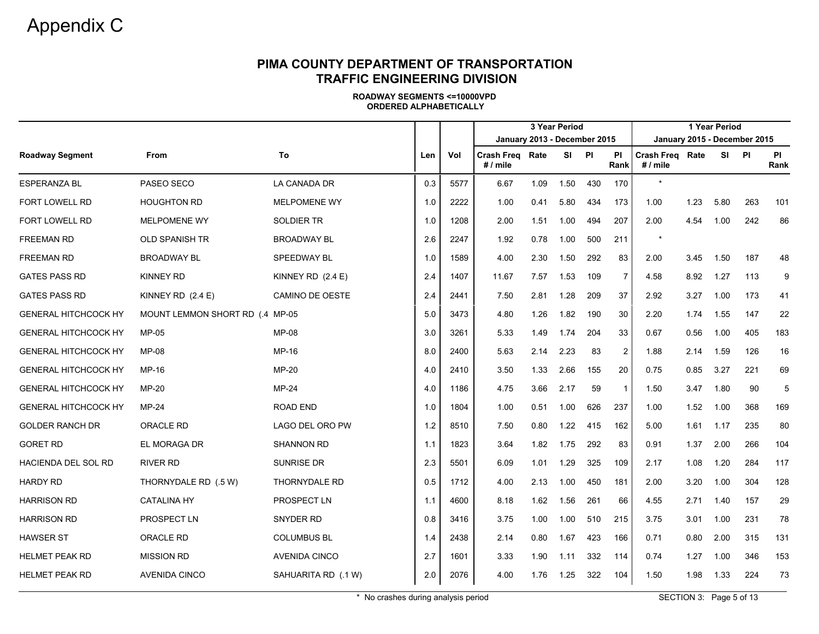|                             |                                 |                      |     |      |                                    |      | 3 Year Period |     |                   |                              |      | 1 Year Period |     |                   |
|-----------------------------|---------------------------------|----------------------|-----|------|------------------------------------|------|---------------|-----|-------------------|------------------------------|------|---------------|-----|-------------------|
|                             |                                 |                      |     |      | January 2013 - December 2015       |      |               |     |                   | January 2015 - December 2015 |      |               |     |                   |
| <b>Roadway Segment</b>      | From                            | To                   | Len | Vol  | <b>Crash Freg Rate</b><br># / mile |      | SI PI         |     | <b>PI</b><br>Rank | Crash Freg Rate<br># / mile  |      | SI PI         |     | <b>PI</b><br>Rank |
| <b>ESPERANZA BL</b>         | PASEO SECO                      | LA CANADA DR         | 0.3 | 5577 | 6.67                               | 1.09 | 1.50          | 430 | 170               | $\star$                      |      |               |     |                   |
| <b>FORT LOWELL RD</b>       | <b>HOUGHTON RD</b>              | <b>MELPOMENE WY</b>  | 1.0 | 2222 | 1.00                               | 0.41 | 5.80          | 434 | 173               | 1.00                         | 1.23 | 5.80          | 263 | 101               |
| <b>FORT LOWELL RD</b>       | <b>MELPOMENE WY</b>             | <b>SOLDIER TR</b>    | 1.0 | 1208 | 2.00                               | 1.51 | 1.00          | 494 | 207               | 2.00                         | 4.54 | 1.00          | 242 | 86                |
| <b>FREEMAN RD</b>           | <b>OLD SPANISH TR</b>           | <b>BROADWAY BL</b>   | 2.6 | 2247 | 1.92                               | 0.78 | 1.00          | 500 | 211               |                              |      |               |     |                   |
| <b>FREEMAN RD</b>           | <b>BROADWAY BL</b>              | SPEEDWAY BL          | 1.0 | 1589 | 4.00                               | 2.30 | 1.50          | 292 | 83                | 2.00                         | 3.45 | 1.50          | 187 | 48                |
| <b>GATES PASS RD</b>        | <b>KINNEY RD</b>                | KINNEY RD (2.4 E)    | 2.4 | 1407 | 11.67                              | 7.57 | 1.53          | 109 | $\overline{7}$    | 4.58                         | 8.92 | 1.27          | 113 | 9                 |
| <b>GATES PASS RD</b>        | KINNEY RD (2.4 E)               | CAMINO DE OESTE      | 2.4 | 2441 | 7.50                               | 2.81 | 1.28          | 209 | 37                | 2.92                         | 3.27 | 1.00          | 173 | 41                |
| <b>GENERAL HITCHCOCK HY</b> | MOUNT LEMMON SHORT RD (.4 MP-05 |                      | 5.0 | 3473 | 4.80                               | 1.26 | 1.82          | 190 | 30                | 2.20                         | 1.74 | 1.55          | 147 | 22                |
| <b>GENERAL HITCHCOCK HY</b> | MP-05                           | <b>MP-08</b>         | 3.0 | 3261 | 5.33                               | 1.49 | 1.74          | 204 | 33                | 0.67                         | 0.56 | 1.00          | 405 | 183               |
| <b>GENERAL HITCHCOCK HY</b> | MP-08                           | MP-16                | 8.0 | 2400 | 5.63                               | 2.14 | 2.23          | 83  | 2                 | 1.88                         | 2.14 | 1.59          | 126 | 16                |
| <b>GENERAL HITCHCOCK HY</b> | MP-16                           | MP-20                | 4.0 | 2410 | 3.50                               | 1.33 | 2.66          | 155 | 20                | 0.75                         | 0.85 | 3.27          | 221 | 69                |
| <b>GENERAL HITCHCOCK HY</b> | MP-20                           | <b>MP-24</b>         | 4.0 | 1186 | 4.75                               | 3.66 | 2.17          | 59  | $\overline{1}$    | 1.50                         | 3.47 | 1.80          | 90  | 5                 |
| <b>GENERAL HITCHCOCK HY</b> | MP-24                           | <b>ROAD END</b>      | 1.0 | 1804 | 1.00                               | 0.51 | 1.00          | 626 | 237               | 1.00                         | 1.52 | 1.00          | 368 | 169               |
| <b>GOLDER RANCH DR</b>      | ORACLE RD                       | LAGO DEL ORO PW      | 1.2 | 8510 | 7.50                               | 0.80 | 1.22          | 415 | 162               | 5.00                         | 1.61 | 1.17          | 235 | 80                |
| <b>GORET RD</b>             | EL MORAGA DR                    | <b>SHANNON RD</b>    | 1.1 | 1823 | 3.64                               | 1.82 | 1.75          | 292 | 83                | 0.91                         | 1.37 | 2.00          | 266 | 104               |
| HACIENDA DEL SOL RD         | <b>RIVER RD</b>                 | SUNRISE DR           | 2.3 | 5501 | 6.09                               | 1.01 | 1.29          | 325 | 109               | 2.17                         | 1.08 | 1.20          | 284 | 117               |
| <b>HARDY RD</b>             | THORNYDALE RD (.5 W)            | THORNYDALE RD        | 0.5 | 1712 | 4.00                               | 2.13 | 1.00          | 450 | 181               | 2.00                         | 3.20 | 1.00          | 304 | 128               |
| <b>HARRISON RD</b>          | <b>CATALINA HY</b>              | PROSPECT LN          | 1.1 | 4600 | 8.18                               | 1.62 | 1.56          | 261 | 66                | 4.55                         | 2.71 | 1.40          | 157 | 29                |
| <b>HARRISON RD</b>          | PROSPECT LN                     | <b>SNYDER RD</b>     | 0.8 | 3416 | 3.75                               | 1.00 | 1.00          | 510 | 215               | 3.75                         | 3.01 | 1.00          | 231 | 78                |
| <b>HAWSER ST</b>            | ORACLE RD                       | <b>COLUMBUS BL</b>   | 1.4 | 2438 | 2.14                               | 0.80 | 1.67          | 423 | 166               | 0.71                         | 0.80 | 2.00          | 315 | 131               |
| <b>HELMET PEAK RD</b>       | <b>MISSION RD</b>               | <b>AVENIDA CINCO</b> | 2.7 | 1601 | 3.33                               | 1.90 | 1.11          | 332 | 114               | 0.74                         | 1.27 | 1.00          | 346 | 153               |
| <b>HELMET PEAK RD</b>       | <b>AVENIDA CINCO</b>            | SAHUARITA RD (.1 W)  | 2.0 | 2076 | 4.00                               | 1.76 | 1.25          | 322 | 104               | 1.50                         | 1.98 | 1.33          | 224 | 73                |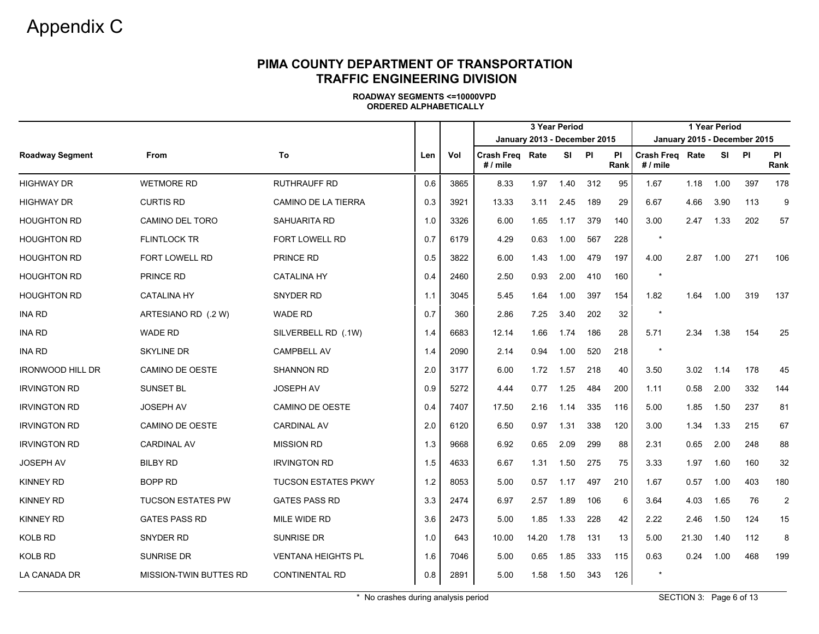|                         |                               |                            |     |      | 3 Year Period<br>January 2013 - December 2015 |       |      |     |                   |                               |       | 1 Year Period |                              |                   |
|-------------------------|-------------------------------|----------------------------|-----|------|-----------------------------------------------|-------|------|-----|-------------------|-------------------------------|-------|---------------|------------------------------|-------------------|
|                         |                               |                            |     |      |                                               |       |      |     |                   |                               |       |               | January 2015 - December 2015 |                   |
| <b>Roadway Segment</b>  | <b>From</b>                   | To                         | Len | Vol  | <b>Crash Freg Rate</b><br># / mile            |       | SI   | PI  | <b>PI</b><br>Rank | Crash Freg Rate<br>$# /$ mile |       | SI PI         |                              | <b>PI</b><br>Rank |
| <b>HIGHWAY DR</b>       | <b>WETMORE RD</b>             | <b>RUTHRAUFF RD</b>        | 0.6 | 3865 | 8.33                                          | 1.97  | 1.40 | 312 | 95                | 1.67                          | 1.18  | 1.00          | 397                          | 178               |
| <b>HIGHWAY DR</b>       | <b>CURTIS RD</b>              | <b>CAMINO DE LA TIERRA</b> | 0.3 | 3921 | 13.33                                         | 3.11  | 2.45 | 189 | 29                | 6.67                          | 4.66  | 3.90          | 113                          | 9                 |
| <b>HOUGHTON RD</b>      | <b>CAMINO DEL TORO</b>        | <b>SAHUARITA RD</b>        | 1.0 | 3326 | 6.00                                          | 1.65  | 1.17 | 379 | 140               | 3.00                          | 2.47  | 1.33          | 202                          | 57                |
| <b>HOUGHTON RD</b>      | <b>FLINTLOCK TR</b>           | <b>FORT LOWELL RD</b>      | 0.7 | 6179 | 4.29                                          | 0.63  | 1.00 | 567 | 228               |                               |       |               |                              |                   |
| <b>HOUGHTON RD</b>      | FORT LOWELL RD                | PRINCE RD                  | 0.5 | 3822 | 6.00                                          | 1.43  | 1.00 | 479 | 197               | 4.00                          | 2.87  | 1.00          | 271                          | 106               |
| <b>HOUGHTON RD</b>      | <b>PRINCE RD</b>              | <b>CATALINA HY</b>         | 0.4 | 2460 | 2.50                                          | 0.93  | 2.00 | 410 | 160               | $\star$                       |       |               |                              |                   |
| <b>HOUGHTON RD</b>      | <b>CATALINA HY</b>            | <b>SNYDER RD</b>           | 1.1 | 3045 | 5.45                                          | 1.64  | 1.00 | 397 | 154               | 1.82                          | 1.64  | 1.00          | 319                          | 137               |
| INA RD                  | ARTESIANO RD (.2 W)           | <b>WADE RD</b>             | 0.7 | 360  | 2.86                                          | 7.25  | 3.40 | 202 | 32                |                               |       |               |                              |                   |
| <b>INA RD</b>           | <b>WADE RD</b>                | SILVERBELL RD (.1W)        | 1.4 | 6683 | 12.14                                         | 1.66  | 1.74 | 186 | 28                | 5.71                          | 2.34  | 1.38          | 154                          | 25                |
| <b>INA RD</b>           | <b>SKYLINE DR</b>             | <b>CAMPBELL AV</b>         | 1.4 | 2090 | 2.14                                          | 0.94  | 1.00 | 520 | 218               |                               |       |               |                              |                   |
| <b>IRONWOOD HILL DR</b> | <b>CAMINO DE OESTE</b>        | <b>SHANNON RD</b>          | 2.0 | 3177 | 6.00                                          | 1.72  | 1.57 | 218 | 40                | 3.50                          | 3.02  | 1.14          | 178                          | 45                |
| <b>IRVINGTON RD</b>     | <b>SUNSET BL</b>              | <b>JOSEPH AV</b>           | 0.9 | 5272 | 4.44                                          | 0.77  | 1.25 | 484 | 200               | 1.11                          | 0.58  | 2.00          | 332                          | 144               |
| <b>IRVINGTON RD</b>     | <b>JOSEPH AV</b>              | <b>CAMINO DE OESTE</b>     | 0.4 | 7407 | 17.50                                         | 2.16  | 1.14 | 335 | 116               | 5.00                          | 1.85  | 1.50          | 237                          | 81                |
| <b>IRVINGTON RD</b>     | CAMINO DE OESTE               | <b>CARDINAL AV</b>         | 2.0 | 6120 | 6.50                                          | 0.97  | 1.31 | 338 | 120               | 3.00                          | 1.34  | 1.33          | 215                          | 67                |
| <b>IRVINGTON RD</b>     | <b>CARDINAL AV</b>            | <b>MISSION RD</b>          | 1.3 | 9668 | 6.92                                          | 0.65  | 2.09 | 299 | 88                | 2.31                          | 0.65  | 2.00          | 248                          | 88                |
| <b>JOSEPH AV</b>        | <b>BILBY RD</b>               | <b>IRVINGTON RD</b>        | 1.5 | 4633 | 6.67                                          | 1.31  | 1.50 | 275 | 75                | 3.33                          | 1.97  | 1.60          | 160                          | 32                |
| <b>KINNEY RD</b>        | <b>BOPP RD</b>                | <b>TUCSON ESTATES PKWY</b> | 1.2 | 8053 | 5.00                                          | 0.57  | 1.17 | 497 | 210               | 1.67                          | 0.57  | 1.00          | 403                          | 180               |
| <b>KINNEY RD</b>        | <b>TUCSON ESTATES PW</b>      | <b>GATES PASS RD</b>       | 3.3 | 2474 | 6.97                                          | 2.57  | 1.89 | 106 | 6                 | 3.64                          | 4.03  | 1.65          | 76                           | $\overline{2}$    |
| <b>KINNEY RD</b>        | <b>GATES PASS RD</b>          | MILE WIDE RD               | 3.6 | 2473 | 5.00                                          | 1.85  | 1.33 | 228 | 42                | 2.22                          | 2.46  | 1.50          | 124                          | 15                |
| <b>KOLB RD</b>          | SNYDER RD                     | <b>SUNRISE DR</b>          | 1.0 | 643  | 10.00                                         | 14.20 | 1.78 | 131 | 13                | 5.00                          | 21.30 | 1.40          | 112                          | 8                 |
| <b>KOLB RD</b>          | <b>SUNRISE DR</b>             | <b>VENTANA HEIGHTS PL</b>  | 1.6 | 7046 | 5.00                                          | 0.65  | 1.85 | 333 | 115               | 0.63                          | 0.24  | 1.00          | 468                          | 199               |
| LA CANADA DR            | <b>MISSION-TWIN BUTTES RD</b> | <b>CONTINENTAL RD</b>      | 0.8 | 2891 | 5.00                                          | 1.58  | 1.50 | 343 | 126               |                               |       |               |                              |                   |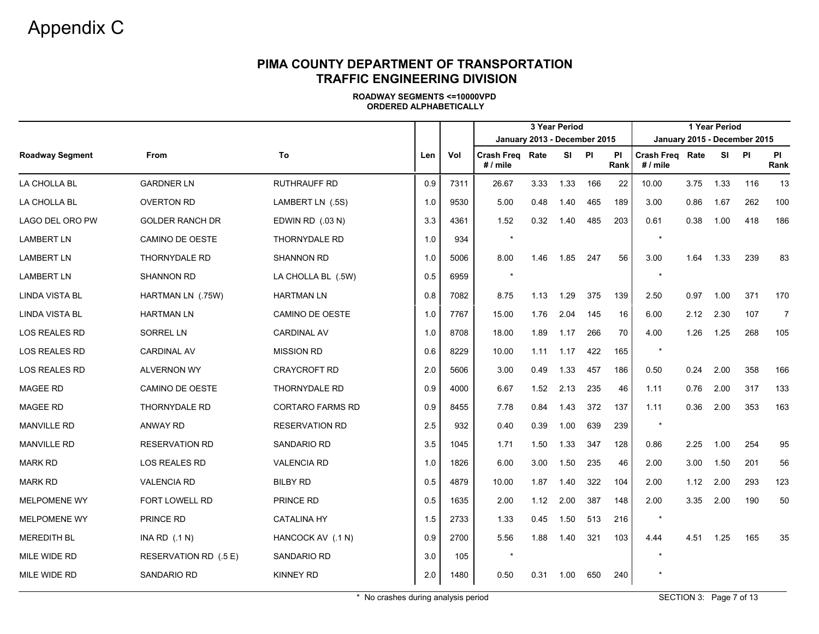|                        |                        |                         |     |      |                                    |                              | 3 Year Period |     |            |                             |      | 1 Year Period |                              |                   |
|------------------------|------------------------|-------------------------|-----|------|------------------------------------|------------------------------|---------------|-----|------------|-----------------------------|------|---------------|------------------------------|-------------------|
|                        |                        |                         |     |      |                                    | January 2013 - December 2015 |               |     |            |                             |      |               | January 2015 - December 2015 |                   |
| <b>Roadway Segment</b> | <b>From</b>            | To                      | Len | Vol  | <b>Crash Freg Rate</b><br># / mile |                              | SI PI         |     | ΡI<br>Rank | Crash Freg Rate<br># / mile |      | SI.           | PI                           | <b>PI</b><br>Rank |
| LA CHOLLA BL           | <b>GARDNER LN</b>      | <b>RUTHRAUFF RD</b>     | 0.9 | 7311 | 26.67                              | 3.33                         | 1.33          | 166 | 22         | 10.00                       | 3.75 | 1.33          | 116                          | 13                |
| LA CHOLLA BL           | <b>OVERTON RD</b>      | LAMBERT LN (.5S)        | 1.0 | 9530 | 5.00                               | 0.48                         | 1.40          | 465 | 189        | 3.00                        | 0.86 | 1.67          | 262                          | 100               |
| LAGO DEL ORO PW        | <b>GOLDER RANCH DR</b> | EDWIN RD (.03 N)        | 3.3 | 4361 | 1.52                               | 0.32                         | 1.40          | 485 | 203        | 0.61                        | 0.38 | 1.00          | 418                          | 186               |
| <b>LAMBERT LN</b>      | CAMINO DE OESTE        | <b>THORNYDALE RD</b>    | 1.0 | 934  | $\star$                            |                              |               |     |            | $\star$                     |      |               |                              |                   |
| <b>LAMBERT LN</b>      | THORNYDALE RD          | <b>SHANNON RD</b>       | 1.0 | 5006 | 8.00                               | 1.46                         | 1.85          | 247 | 56         | 3.00                        | 1.64 | 1.33          | 239                          | 83                |
| <b>LAMBERT LN</b>      | <b>SHANNON RD</b>      | LA CHOLLA BL (.5W)      | 0.5 | 6959 | $\star$                            |                              |               |     |            | $\star$                     |      |               |                              |                   |
| LINDA VISTA BL         | HARTMAN LN (.75W)      | <b>HARTMAN LN</b>       | 0.8 | 7082 | 8.75                               | 1.13                         | 1.29          | 375 | 139        | 2.50                        | 0.97 | 1.00          | 371                          | 170               |
| <b>LINDA VISTA BL</b>  | <b>HARTMAN LN</b>      | CAMINO DE OESTE         | 1.0 | 7767 | 15.00                              | 1.76                         | 2.04          | 145 | 16         | 6.00                        | 2.12 | 2.30          | 107                          | $\overline{7}$    |
| LOS REALES RD          | SORREL LN              | <b>CARDINAL AV</b>      | 1.0 | 8708 | 18.00                              | 1.89                         | 1.17          | 266 | 70         | 4.00                        | 1.26 | 1.25          | 268                          | 105               |
| LOS REALES RD          | <b>CARDINAL AV</b>     | <b>MISSION RD</b>       | 0.6 | 8229 | 10.00                              | 1.11                         | 1.17          | 422 | 165        | $\star$                     |      |               |                              |                   |
| LOS REALES RD          | ALVERNON WY            | <b>CRAYCROFT RD</b>     | 2.0 | 5606 | 3.00                               | 0.49                         | 1.33          | 457 | 186        | 0.50                        | 0.24 | 2.00          | 358                          | 166               |
| <b>MAGEE RD</b>        | CAMINO DE OESTE        | <b>THORNYDALE RD</b>    | 0.9 | 4000 | 6.67                               | 1.52                         | 2.13          | 235 | 46         | 1.11                        | 0.76 | 2.00          | 317                          | 133               |
| <b>MAGEE RD</b>        | <b>THORNYDALE RD</b>   | <b>CORTARO FARMS RD</b> | 0.9 | 8455 | 7.78                               | 0.84                         | 1.43          | 372 | 137        | 1.11                        | 0.36 | 2.00          | 353                          | 163               |
| <b>MANVILLE RD</b>     | ANWAY RD               | <b>RESERVATION RD</b>   | 2.5 | 932  | 0.40                               | 0.39                         | 1.00          | 639 | 239        | $\star$                     |      |               |                              |                   |
| <b>MANVILLE RD</b>     | <b>RESERVATION RD</b>  | SANDARIO RD             | 3.5 | 1045 | 1.71                               | 1.50                         | 1.33          | 347 | 128        | 0.86                        | 2.25 | 1.00          | 254                          | 95                |
| <b>MARK RD</b>         | LOS REALES RD          | <b>VALENCIA RD</b>      | 1.0 | 1826 | 6.00                               | 3.00                         | 1.50          | 235 | 46         | 2.00                        | 3.00 | 1.50          | 201                          | 56                |
| <b>MARK RD</b>         | <b>VALENCIA RD</b>     | <b>BILBY RD</b>         | 0.5 | 4879 | 10.00                              | 1.87                         | 1.40          | 322 | 104        | 2.00                        | 1.12 | 2.00          | 293                          | 123               |
| <b>MELPOMENE WY</b>    | FORT LOWELL RD         | PRINCE RD               | 0.5 | 1635 | 2.00                               | 1.12                         | 2.00          | 387 | 148        | 2.00                        | 3.35 | 2.00          | 190                          | 50                |
| <b>MELPOMENE WY</b>    | PRINCE RD              | <b>CATALINA HY</b>      | 1.5 | 2733 | 1.33                               | 0.45                         | 1.50          | 513 | 216        | $\star$                     |      |               |                              |                   |
| <b>MEREDITH BL</b>     | INA RD $(.1 N)$        | HANCOCK AV (.1 N)       | 0.9 | 2700 | 5.56                               | 1.88                         | 1.40          | 321 | 103        | 4.44                        | 4.51 | 1.25          | 165                          | 35                |
| MILE WIDE RD           | RESERVATION RD (.5 E)  | <b>SANDARIO RD</b>      | 3.0 | 105  | $\star$                            |                              |               |     |            | $\star$                     |      |               |                              |                   |
| MILE WIDE RD           | SANDARIO RD            | <b>KINNEY RD</b>        | 2.0 | 1480 | 0.50                               | 0.31                         | 1.00          | 650 | 240        |                             |      |               |                              |                   |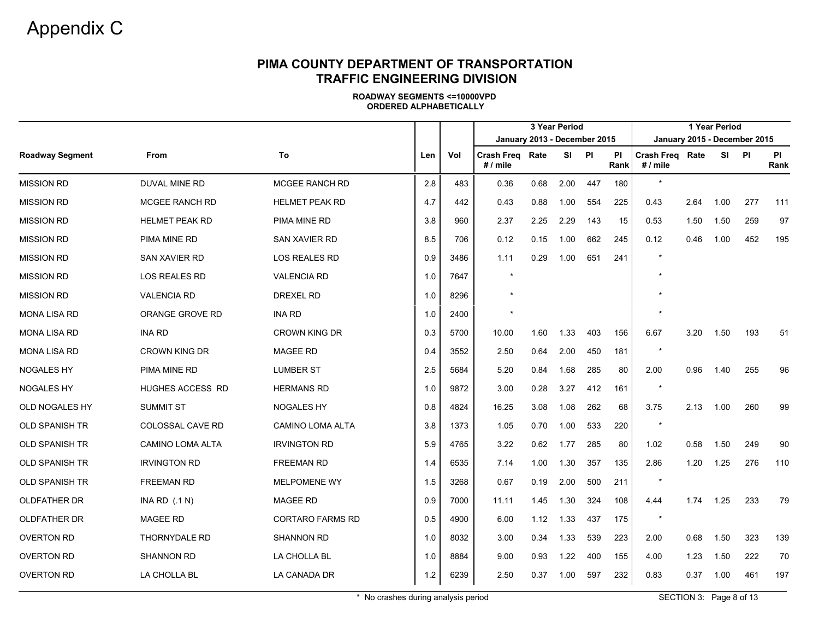|                        |                         |                         |     |      |                               |      | 3 Year Period |     |                   |                               |      | 1 Year Period |                              |                   |
|------------------------|-------------------------|-------------------------|-----|------|-------------------------------|------|---------------|-----|-------------------|-------------------------------|------|---------------|------------------------------|-------------------|
|                        |                         |                         |     |      | January 2013 - December 2015  |      |               |     |                   |                               |      |               | January 2015 - December 2015 |                   |
| <b>Roadway Segment</b> | <b>From</b>             | To                      | Len | Vol  | Crash Freq Rate<br>$# /$ mile |      | SI PI         |     | <b>PI</b><br>Rank | Crash Freq Rate<br>$# /$ mile |      |               | SI PI                        | <b>PI</b><br>Rank |
| <b>MISSION RD</b>      | <b>DUVAL MINE RD</b>    | MCGEE RANCH RD          | 2.8 | 483  | 0.36                          | 0.68 | 2.00          | 447 | 180               | $\star$                       |      |               |                              |                   |
| <b>MISSION RD</b>      | <b>MCGEE RANCH RD</b>   | <b>HELMET PEAK RD</b>   | 4.7 | 442  | 0.43                          | 0.88 | 1.00          | 554 | 225               | 0.43                          | 2.64 | 1.00          | 277                          | 111               |
| <b>MISSION RD</b>      | <b>HELMET PEAK RD</b>   | PIMA MINE RD            | 3.8 | 960  | 2.37                          | 2.25 | 2.29          | 143 | 15                | 0.53                          | 1.50 | 1.50          | 259                          | 97                |
| <b>MISSION RD</b>      | PIMA MINE RD            | <b>SAN XAVIER RD</b>    | 8.5 | 706  | 0.12                          | 0.15 | 1.00          | 662 | 245               | 0.12                          | 0.46 | 1.00          | 452                          | 195               |
| <b>MISSION RD</b>      | SAN XAVIER RD           | LOS REALES RD           | 0.9 | 3486 | 1.11                          | 0.29 | 1.00          | 651 | 241               |                               |      |               |                              |                   |
| <b>MISSION RD</b>      | LOS REALES RD           | <b>VALENCIA RD</b>      | 1.0 | 7647 |                               |      |               |     |                   |                               |      |               |                              |                   |
| <b>MISSION RD</b>      | <b>VALENCIA RD</b>      | <b>DREXEL RD</b>        | 1.0 | 8296 |                               |      |               |     |                   |                               |      |               |                              |                   |
| <b>MONA LISA RD</b>    | ORANGE GROVE RD         | <b>INA RD</b>           | 1.0 | 2400 |                               |      |               |     |                   |                               |      |               |                              |                   |
| <b>MONA LISA RD</b>    | <b>INA RD</b>           | CROWN KING DR           | 0.3 | 5700 | 10.00                         | 1.60 | 1.33          | 403 | 156               | 6.67                          | 3.20 | 1.50          | 193                          | 51                |
| <b>MONA LISA RD</b>    | <b>CROWN KING DR</b>    | <b>MAGEE RD</b>         | 0.4 | 3552 | 2.50                          | 0.64 | 2.00          | 450 | 181               |                               |      |               |                              |                   |
| <b>NOGALES HY</b>      | PIMA MINE RD            | <b>LUMBER ST</b>        | 2.5 | 5684 | 5.20                          | 0.84 | 1.68          | 285 | 80                | 2.00                          | 0.96 | 1.40          | 255                          | 96                |
| <b>NOGALES HY</b>      | HUGHES ACCESS RD        | <b>HERMANS RD</b>       | 1.0 | 9872 | 3.00                          | 0.28 | 3.27          | 412 | 161               |                               |      |               |                              |                   |
| OLD NOGALES HY         | <b>SUMMIT ST</b>        | <b>NOGALES HY</b>       | 0.8 | 4824 | 16.25                         | 3.08 | 1.08          | 262 | 68                | 3.75                          | 2.13 | 1.00          | 260                          | 99                |
| <b>OLD SPANISH TR</b>  | COLOSSAL CAVE RD        | <b>CAMINO LOMA ALTA</b> | 3.8 | 1373 | 1.05                          | 0.70 | 1.00          | 533 | 220               |                               |      |               |                              |                   |
| <b>OLD SPANISH TR</b>  | <b>CAMINO LOMA ALTA</b> | <b>IRVINGTON RD</b>     | 5.9 | 4765 | 3.22                          | 0.62 | 1.77          | 285 | 80                | 1.02                          | 0.58 | 1.50          | 249                          | 90                |
| OLD SPANISH TR         | <b>IRVINGTON RD</b>     | <b>FREEMAN RD</b>       | 1.4 | 6535 | 7.14                          | 1.00 | 1.30          | 357 | 135               | 2.86                          | 1.20 | 1.25          | 276                          | 110               |
| <b>OLD SPANISH TR</b>  | <b>FREEMAN RD</b>       | <b>MELPOMENE WY</b>     | 1.5 | 3268 | 0.67                          | 0.19 | 2.00          | 500 | 211               |                               |      |               |                              |                   |
| <b>OLDFATHER DR</b>    | INA RD $(.1 N)$         | <b>MAGEE RD</b>         | 0.9 | 7000 | 11.11                         | 1.45 | 1.30          | 324 | 108               | 4.44                          | 1.74 | 1.25          | 233                          | 79                |
| <b>OLDFATHER DR</b>    | <b>MAGEE RD</b>         | <b>CORTARO FARMS RD</b> | 0.5 | 4900 | 6.00                          | 1.12 | 1.33          | 437 | 175               | $\star$                       |      |               |                              |                   |
| <b>OVERTON RD</b>      | <b>THORNYDALE RD</b>    | <b>SHANNON RD</b>       | 1.0 | 8032 | 3.00                          | 0.34 | 1.33          | 539 | 223               | 2.00                          | 0.68 | 1.50          | 323                          | 139               |
| <b>OVERTON RD</b>      | <b>SHANNON RD</b>       | LA CHOLLA BL            | 1.0 | 8884 | 9.00                          | 0.93 | 1.22          | 400 | 155               | 4.00                          | 1.23 | 1.50          | 222                          | 70                |
| <b>OVERTON RD</b>      | LA CHOLLA BL            | LA CANADA DR            | 1.2 | 6239 | 2.50                          | 0.37 | 1.00          | 597 | 232               | 0.83                          | 0.37 | 1.00          | 461                          | 197               |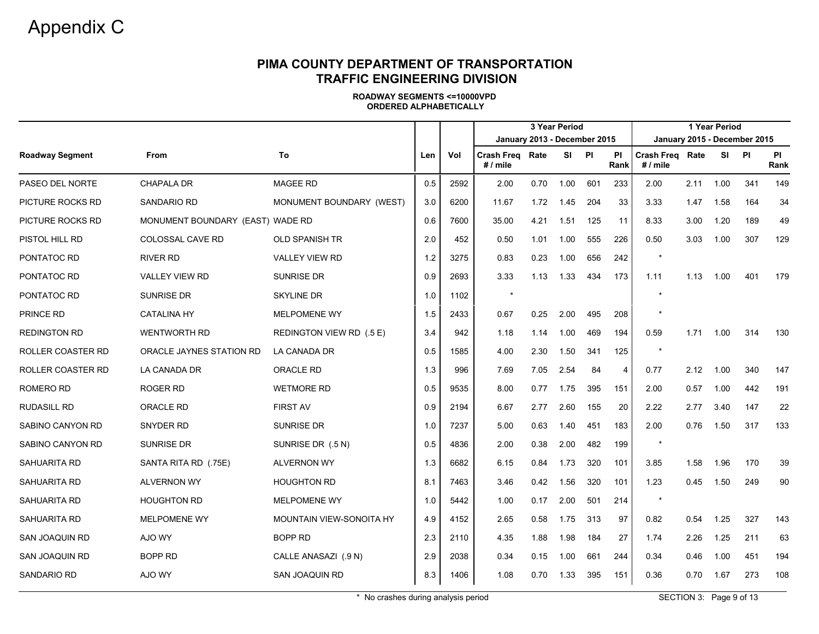|                        |                                  |                          |     |      | 3 Year Period                 |      |       |     |                   |                                      |      | 1 Year Period |                              |            |
|------------------------|----------------------------------|--------------------------|-----|------|-------------------------------|------|-------|-----|-------------------|--------------------------------------|------|---------------|------------------------------|------------|
|                        |                                  |                          |     |      | January 2013 - December 2015  |      |       |     |                   |                                      |      |               | January 2015 - December 2015 |            |
| <b>Roadway Segment</b> | <b>From</b>                      | To                       | Len | Vol  | Crash Freq Rate<br>$# /$ mile |      | SI PI |     | <b>PI</b><br>Rank | <b>Crash Freg Rate</b><br>$# /$ mile |      | SI PI         |                              | PI<br>Rank |
| PASEO DEL NORTE        | <b>CHAPALA DR</b>                | <b>MAGEE RD</b>          | 0.5 | 2592 | 2.00                          | 0.70 | 1.00  | 601 | 233               | 2.00                                 | 2.11 | 1.00          | 341                          | 149        |
| PICTURE ROCKS RD       | <b>SANDARIO RD</b>               | MONUMENT BOUNDARY (WEST) | 3.0 | 6200 | 11.67                         | 1.72 | 1.45  | 204 | 33                | 3.33                                 | 1.47 | 1.58          | 164                          | 34         |
| PICTURE ROCKS RD       | MONUMENT BOUNDARY (EAST) WADE RD |                          | 0.6 | 7600 | 35.00                         | 4.21 | 1.51  | 125 | 11                | 8.33                                 | 3.00 | 1.20          | 189                          | 49         |
| PISTOL HILL RD         | <b>COLOSSAL CAVE RD</b>          | <b>OLD SPANISH TR</b>    | 2.0 | 452  | 0.50                          | 1.01 | 1.00  | 555 | 226               | 0.50                                 | 3.03 | 1.00          | 307                          | 129        |
| PONTATOC RD            | RIVER RD                         | <b>VALLEY VIEW RD</b>    | 1.2 | 3275 | 0.83                          | 0.23 | 1.00  | 656 | 242               | $\star$                              |      |               |                              |            |
| PONTATOC RD            | <b>VALLEY VIEW RD</b>            | <b>SUNRISE DR</b>        | 0.9 | 2693 | 3.33                          | 1.13 | 1.33  | 434 | 173               | 1.11                                 | 1.13 | 1.00          | 401                          | 179        |
| PONTATOC RD            | <b>SUNRISE DR</b>                | SKYLINE DR               | 1.0 | 1102 | $\star$                       |      |       |     |                   |                                      |      |               |                              |            |
| PRINCE RD              | <b>CATALINA HY</b>               | <b>MELPOMENE WY</b>      | 1.5 | 2433 | 0.67                          | 0.25 | 2.00  | 495 | 208               |                                      |      |               |                              |            |
| <b>REDINGTON RD</b>    | <b>WENTWORTH RD</b>              | REDINGTON VIEW RD (.5 E) | 3.4 | 942  | 1.18                          | 1.14 | 1.00  | 469 | 194               | 0.59                                 | 1.71 | 1.00          | 314                          | 130        |
| ROLLER COASTER RD      | ORACLE JAYNES STATION RD         | <b>LA CANADA DR</b>      | 0.5 | 1585 | 4.00                          | 2.30 | 1.50  | 341 | 125               |                                      |      |               |                              |            |
| ROLLER COASTER RD      | LA CANADA DR                     | <b>ORACLE RD</b>         | 1.3 | 996  | 7.69                          | 7.05 | 2.54  | 84  | $\overline{4}$    | 0.77                                 | 2.12 | 1.00          | 340                          | 147        |
| ROMERO RD              | ROGER RD                         | <b>WETMORE RD</b>        | 0.5 | 9535 | 8.00                          | 0.77 | 1.75  | 395 | 151               | 2.00                                 | 0.57 | 1.00          | 442                          | 191        |
| <b>RUDASILL RD</b>     | <b>ORACLE RD</b>                 | <b>FIRST AV</b>          | 0.9 | 2194 | 6.67                          | 2.77 | 2.60  | 155 | 20                | 2.22                                 | 2.77 | 3.40          | 147                          | 22         |
| SABINO CANYON RD       | SNYDER RD                        | <b>SUNRISE DR</b>        | 1.0 | 7237 | 5.00                          | 0.63 | 1.40  | 451 | 183               | 2.00                                 | 0.76 | 1.50          | 317                          | 133        |
| SABINO CANYON RD       | SUNRISE DR                       | SUNRISE DR (.5 N)        | 0.5 | 4836 | 2.00                          | 0.38 | 2.00  | 482 | 199               | $\star$                              |      |               |                              |            |
| SAHUARITA RD           | SANTA RITA RD (.75E)             | <b>ALVERNON WY</b>       | 1.3 | 6682 | 6.15                          | 0.84 | 1.73  | 320 | 101               | 3.85                                 | 1.58 | 1.96          | 170                          | 39         |
| SAHUARITA RD           | <b>ALVERNON WY</b>               | <b>HOUGHTON RD</b>       | 8.1 | 7463 | 3.46                          | 0.42 | 1.56  | 320 | 101               | 1.23                                 | 0.45 | 1.50          | 249                          | 90         |
| SAHUARITA RD           | <b>HOUGHTON RD</b>               | <b>MELPOMENE WY</b>      | 1.0 | 5442 | 1.00                          | 0.17 | 2.00  | 501 | 214               | $\star$                              |      |               |                              |            |
| SAHUARITA RD           | <b>MELPOMENE WY</b>              | MOUNTAIN VIEW-SONOITA HY | 4.9 | 4152 | 2.65                          | 0.58 | 1.75  | 313 | 97                | 0.82                                 | 0.54 | 1.25          | 327                          | 143        |
| SAN JOAQUIN RD         | AJO WY                           | BOPP RD                  | 2.3 | 2110 | 4.35                          | 1.88 | 1.98  | 184 | 27                | 1.74                                 | 2.26 | 1.25          | 211                          | 63         |
| SAN JOAQUIN RD         | BOPP RD                          | CALLE ANASAZI (.9 N)     | 2.9 | 2038 | 0.34                          | 0.15 | 1.00  | 661 | 244               | 0.34                                 | 0.46 | 1.00          | 451                          | 194        |
| <b>SANDARIO RD</b>     | AJO WY                           | SAN JOAQUIN RD           | 8.3 | 1406 | 1.08                          | 0.70 | 1.33  | 395 | 151               | 0.36                                 | 0.70 | 1.67          | 273                          | 108        |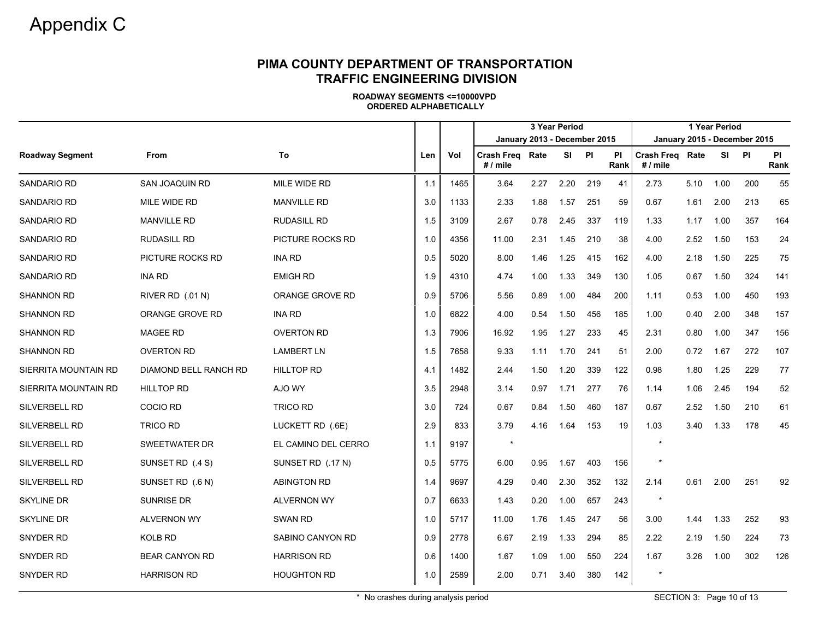|                        |                              |                     |     |      |                                                                    |      | 3 Year Period |      |                   |                               |      | 1 Year Period |                                   |                   |
|------------------------|------------------------------|---------------------|-----|------|--------------------------------------------------------------------|------|---------------|------|-------------------|-------------------------------|------|---------------|-----------------------------------|-------------------|
| <b>Roadway Segment</b> | <b>From</b>                  | To                  | Len | Vol  | January 2013 - December 2015<br><b>Crash Freg Rate</b><br># / mile |      | <b>SI</b>     | - PI | <b>PI</b><br>Rank | Crash Freg Rate<br>$# /$ mile |      | <b>SI</b>     | January 2015 - December 2015<br>P | <b>PI</b><br>Rank |
| SANDARIO RD            | SAN JOAQUIN RD               | MILE WIDE RD        | 1.1 | 1465 | 3.64                                                               | 2.27 | 2.20          | 219  | 41                | 2.73                          | 5.10 | 1.00          | 200                               | 55                |
| <b>SANDARIO RD</b>     | MILE WIDE RD                 | <b>MANVILLE RD</b>  | 3.0 | 1133 | 2.33                                                               | 1.88 | 1.57          | 251  | 59                | 0.67                          | 1.61 | 2.00          | 213                               | 65                |
| <b>SANDARIO RD</b>     | <b>MANVILLE RD</b>           | <b>RUDASILL RD</b>  | 1.5 | 3109 | 2.67                                                               | 0.78 | 2.45          | 337  | 119               | 1.33                          | 1.17 | 1.00          | 357                               | 164               |
| <b>SANDARIO RD</b>     | <b>RUDASILL RD</b>           | PICTURE ROCKS RD    | 1.0 | 4356 | 11.00                                                              | 2.31 | 1.45          | 210  | 38                | 4.00                          | 2.52 | 1.50          | 153                               | 24                |
| <b>SANDARIO RD</b>     | PICTURE ROCKS RD             | <b>INA RD</b>       | 0.5 | 5020 | 8.00                                                               | 1.46 | 1.25          | 415  | 162               | 4.00                          | 2.18 | 1.50          | 225                               | 75                |
| <b>SANDARIO RD</b>     | <b>INA RD</b>                | <b>EMIGH RD</b>     | 1.9 | 4310 | 4.74                                                               | 1.00 | 1.33          | 349  | 130               | 1.05                          | 0.67 | 1.50          | 324                               | 141               |
| <b>SHANNON RD</b>      | RIVER RD (.01 N)             | ORANGE GROVE RD     | 0.9 | 5706 | 5.56                                                               | 0.89 | 1.00          | 484  | 200               | 1.11                          | 0.53 | 1.00          | 450                               | 193               |
| <b>SHANNON RD</b>      | ORANGE GROVE RD              | <b>INA RD</b>       | 1.0 | 6822 | 4.00                                                               | 0.54 | 1.50          | 456  | 185               | 1.00                          | 0.40 | 2.00          | 348                               | 157               |
| <b>SHANNON RD</b>      | <b>MAGEE RD</b>              | <b>OVERTON RD</b>   | 1.3 | 7906 | 16.92                                                              | 1.95 | 1.27          | 233  | 45                | 2.31                          | 0.80 | 1.00          | 347                               | 156               |
| <b>SHANNON RD</b>      | OVERTON RD                   | <b>LAMBERT LN</b>   | 1.5 | 7658 | 9.33                                                               | 1.11 | 1.70          | 241  | 51                | 2.00                          | 0.72 | 1.67          | 272                               | 107               |
| SIERRITA MOUNTAIN RD   | <b>DIAMOND BELL RANCH RD</b> | <b>HILLTOP RD</b>   | 4.1 | 1482 | 2.44                                                               | 1.50 | 1.20          | 339  | 122               | 0.98                          | 1.80 | 1.25          | 229                               | 77                |
| SIERRITA MOUNTAIN RD   | <b>HILLTOP RD</b>            | AJO WY              | 3.5 | 2948 | 3.14                                                               | 0.97 | 1.71          | 277  | 76                | 1.14                          | 1.06 | 2.45          | 194                               | 52                |
| SILVERBELL RD          | <b>COCIO RD</b>              | <b>TRICO RD</b>     | 3.0 | 724  | 0.67                                                               | 0.84 | 1.50          | 460  | 187               | 0.67                          | 2.52 | 1.50          | 210                               | 61                |
| SILVERBELL RD          | <b>TRICO RD</b>              | LUCKETT RD (.6E)    | 2.9 | 833  | 3.79                                                               | 4.16 | 1.64          | 153  | 19                | 1.03                          | 3.40 | 1.33          | 178                               | 45                |
| <b>SILVERBELL RD</b>   | <b>SWEETWATER DR</b>         | EL CAMINO DEL CERRO | 1.1 | 9197 | $\star$                                                            |      |               |      |                   |                               |      |               |                                   |                   |
| SILVERBELL RD          | SUNSET RD (.4 S)             | SUNSET RD (.17 N)   | 0.5 | 5775 | 6.00                                                               | 0.95 | 1.67          | 403  | 156               |                               |      |               |                                   |                   |
| SILVERBELL RD          | SUNSET RD (.6 N)             | <b>ABINGTON RD</b>  | 1.4 | 9697 | 4.29                                                               | 0.40 | 2.30          | 352  | 132               | 2.14                          | 0.61 | 2.00          | 251                               | 92                |
| <b>SKYLINE DR</b>      | SUNRISE DR                   | <b>ALVERNON WY</b>  | 0.7 | 6633 | 1.43                                                               | 0.20 | 1.00          | 657  | 243               |                               |      |               |                                   |                   |
| <b>SKYLINE DR</b>      | <b>ALVERNON WY</b>           | <b>SWAN RD</b>      | 1.0 | 5717 | 11.00                                                              | 1.76 | 1.45          | 247  | 56                | 3.00                          | 1.44 | 1.33          | 252                               | 93                |
| SNYDER RD              | <b>KOLB RD</b>               | SABINO CANYON RD    | 0.9 | 2778 | 6.67                                                               | 2.19 | 1.33          | 294  | 85                | 2.22                          | 2.19 | 1.50          | 224                               | 73                |
| SNYDER RD              | <b>BEAR CANYON RD</b>        | <b>HARRISON RD</b>  | 0.6 | 1400 | 1.67                                                               | 1.09 | 1.00          | 550  | 224               | 1.67                          | 3.26 | 1.00          | 302                               | 126               |
| SNYDER RD              | HARRISON RD                  | <b>HOUGHTON RD</b>  | 1.0 | 2589 | 2.00                                                               | 0.71 | 3.40          | 380  | 142               | $\star$                       |      |               |                                   |                   |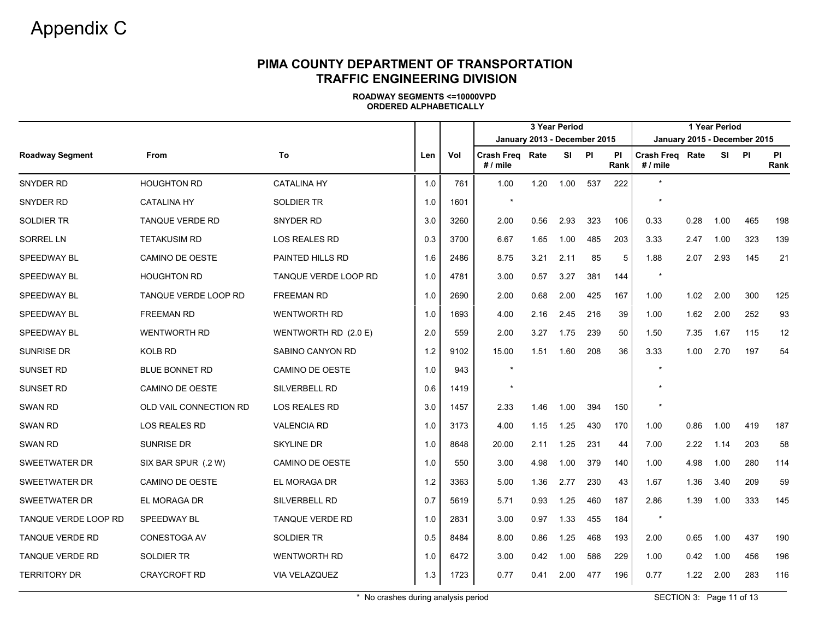|                        |                        |                        |     |      |                                      |      | 3 Year Period |     |                   |                               |      | 1 Year Period |     |                   |
|------------------------|------------------------|------------------------|-----|------|--------------------------------------|------|---------------|-----|-------------------|-------------------------------|------|---------------|-----|-------------------|
|                        |                        |                        |     |      | January 2013 - December 2015         |      |               |     |                   | January 2015 - December 2015  |      |               |     |                   |
| <b>Roadway Segment</b> | From                   | To                     | Len | Vol  | <b>Crash Freg Rate</b><br>$# /$ mile |      | SI PI         |     | <b>PI</b><br>Rank | Crash Freg Rate<br>$# /$ mile |      | SI            | PI  | <b>PI</b><br>Rank |
| SNYDER RD              | <b>HOUGHTON RD</b>     | <b>CATALINA HY</b>     | 1.0 | 761  | 1.00                                 | 1.20 | 1.00          | 537 | 222               | ÷                             |      |               |     |                   |
| SNYDER RD              | <b>CATALINA HY</b>     | <b>SOLDIER TR</b>      | 1.0 | 1601 | $\overline{\phantom{a}}$             |      |               |     |                   | $\star$                       |      |               |     |                   |
| <b>SOLDIER TR</b>      | <b>TANQUE VERDE RD</b> | <b>SNYDER RD</b>       | 3.0 | 3260 | 2.00                                 | 0.56 | 2.93          | 323 | 106               | 0.33                          | 0.28 | 1.00          | 465 | 198               |
| <b>SORREL LN</b>       | <b>TETAKUSIM RD</b>    | <b>LOS REALES RD</b>   | 0.3 | 3700 | 6.67                                 | 1.65 | 1.00          | 485 | 203               | 3.33                          | 2.47 | 1.00          | 323 | 139               |
| SPEEDWAY BL            | CAMINO DE OESTE        | PAINTED HILLS RD       | 1.6 | 2486 | 8.75                                 | 3.21 | 2.11          | 85  | 5                 | 1.88                          | 2.07 | 2.93          | 145 | 21                |
| SPEEDWAY BL            | HOUGHTON RD            | TANQUE VERDE LOOP RD   | 1.0 | 4781 | 3.00                                 | 0.57 | 3.27          | 381 | 144               | $\star$                       |      |               |     |                   |
| SPEEDWAY BL            | TANQUE VERDE LOOP RD   | <b>FREEMAN RD</b>      | 1.0 | 2690 | 2.00                                 | 0.68 | 2.00          | 425 | 167               | 1.00                          | 1.02 | 2.00          | 300 | 125               |
| SPEEDWAY BL            | <b>FREEMAN RD</b>      | <b>WENTWORTH RD</b>    | 1.0 | 1693 | 4.00                                 | 2.16 | 2.45          | 216 | 39                | 1.00                          | 1.62 | 2.00          | 252 | 93                |
| SPEEDWAY BL            | <b>WENTWORTH RD</b>    | WENTWORTH RD (2.0 E)   | 2.0 | 559  | 2.00                                 | 3.27 | 1.75          | 239 | 50                | 1.50                          | 7.35 | 1.67          | 115 | 12                |
| <b>SUNRISE DR</b>      | KOLB RD                | SABINO CANYON RD       | 1.2 | 9102 | 15.00                                | 1.51 | 1.60          | 208 | 36                | 3.33                          | 1.00 | 2.70          | 197 | 54                |
| <b>SUNSET RD</b>       | <b>BLUE BONNET RD</b>  | <b>CAMINO DE OESTE</b> | 1.0 | 943  |                                      |      |               |     |                   |                               |      |               |     |                   |
| SUNSET RD              | CAMINO DE OESTE        | SILVERBELL RD          | 0.6 | 1419 |                                      |      |               |     |                   |                               |      |               |     |                   |
| <b>SWAN RD</b>         | OLD VAIL CONNECTION RD | LOS REALES RD          | 3.0 | 1457 | 2.33                                 | 1.46 | 1.00          | 394 | 150               |                               |      |               |     |                   |
| <b>SWAN RD</b>         | <b>LOS REALES RD</b>   | <b>VALENCIA RD</b>     | 1.0 | 3173 | 4.00                                 | 1.15 | 1.25          | 430 | 170               | 1.00                          | 0.86 | 1.00          | 419 | 187               |
| <b>SWAN RD</b>         | <b>SUNRISE DR</b>      | <b>SKYLINE DR</b>      | 1.0 | 8648 | 20.00                                | 2.11 | 1.25          | 231 | 44                | 7.00                          | 2.22 | 1.14          | 203 | 58                |
| SWEETWATER DR          | SIX BAR SPUR (.2 W)    | CAMINO DE OESTE        | 1.0 | 550  | 3.00                                 | 4.98 | 1.00          | 379 | 140               | 1.00                          | 4.98 | 1.00          | 280 | 114               |
| <b>SWEETWATER DR</b>   | CAMINO DE OESTE        | EL MORAGA DR           | 1.2 | 3363 | 5.00                                 | 1.36 | 2.77          | 230 | 43                | 1.67                          | 1.36 | 3.40          | 209 | 59                |
| SWEETWATER DR          | EL MORAGA DR           | SILVERBELL RD          | 0.7 | 5619 | 5.71                                 | 0.93 | 1.25          | 460 | 187               | 2.86                          | 1.39 | 1.00          | 333 | 145               |
| TANQUE VERDE LOOP RD   | SPEEDWAY BL            | <b>TANQUE VERDE RD</b> | 1.0 | 2831 | 3.00                                 | 0.97 | 1.33          | 455 | 184               | $\star$                       |      |               |     |                   |
| TANQUE VERDE RD        | CONESTOGA AV           | SOLDIER TR             | 0.5 | 8484 | 8.00                                 | 0.86 | 1.25          | 468 | 193               | 2.00                          | 0.65 | 1.00          | 437 | 190               |
| TANQUE VERDE RD        | <b>SOLDIER TR</b>      | <b>WENTWORTH RD</b>    | 1.0 | 6472 | 3.00                                 | 0.42 | 1.00          | 586 | 229               | 1.00                          | 0.42 | 1.00          | 456 | 196               |
| <b>TERRITORY DR</b>    | CRAYCROFT RD           | VIA VELAZQUEZ          | 1.3 | 1723 | 0.77                                 | 0.41 | 2.00          | 477 | 196               | 0.77                          | 1.22 | 2.00          | 283 | 116               |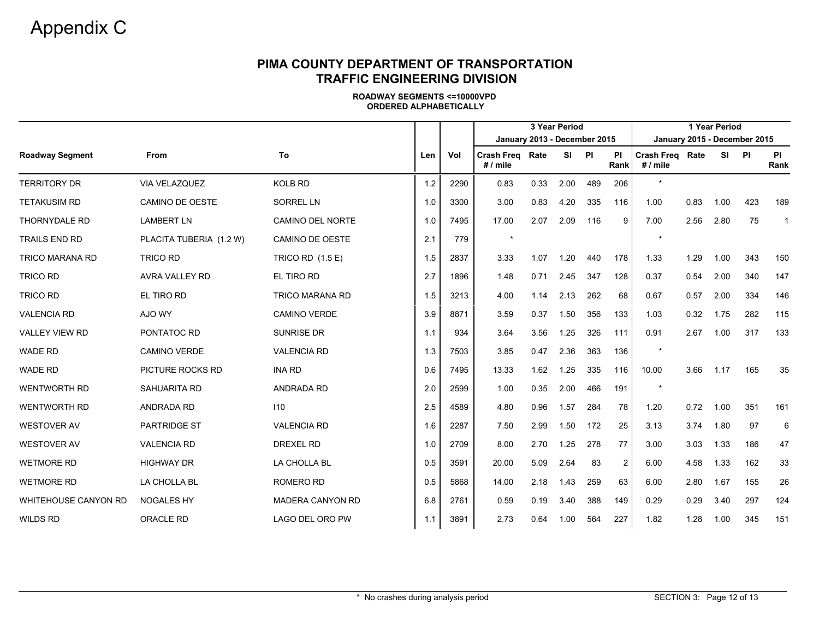|                             |                         |                         |     |      | 1 Year Period<br>3 Year Period<br>January 2013 - December 2015<br>January 2015 - December 2015 |      |           |     |                   |                                    |      |           |     |              |
|-----------------------------|-------------------------|-------------------------|-----|------|------------------------------------------------------------------------------------------------|------|-----------|-----|-------------------|------------------------------------|------|-----------|-----|--------------|
|                             |                         |                         |     |      |                                                                                                |      |           |     |                   |                                    |      |           |     |              |
| <b>Roadway Segment</b>      | From                    | To                      | Len | Vol  | <b>Crash Freg Rate</b><br># / mile                                                             |      | <b>SI</b> | P1  | <b>PI</b><br>Rank | <b>Crash Freg Rate</b><br># / mile |      | <b>SI</b> | P1  | PI<br>Rank   |
| <b>TERRITORY DR</b>         | VIA VELAZQUEZ           | <b>KOLB RD</b>          | 1.2 | 2290 | 0.83                                                                                           | 0.33 | 2.00      | 489 | 206               | $\star$                            |      |           |     |              |
| <b>TETAKUSIM RD</b>         | CAMINO DE OESTE         | <b>SORREL LN</b>        | 1.0 | 3300 | 3.00                                                                                           | 0.83 | 4.20      | 335 | 116               | 1.00                               | 0.83 | 1.00      | 423 | 189          |
| THORNYDALE RD               | <b>LAMBERT LN</b>       | <b>CAMINO DEL NORTE</b> | 1.0 | 7495 | 17.00                                                                                          | 2.07 | 2.09      | 116 | 9                 | 7.00                               | 2.56 | 2.80      | 75  | $\mathbf{1}$ |
| <b>TRAILS END RD</b>        | PLACITA TUBERIA (1.2 W) | CAMINO DE OESTE         | 2.1 | 779  | $\star$                                                                                        |      |           |     |                   | $\star$                            |      |           |     |              |
| <b>TRICO MARANA RD</b>      | <b>TRICO RD</b>         | TRICO RD (1.5 E)        | 1.5 | 2837 | 3.33                                                                                           | 1.07 | 1.20      | 440 | 178               | 1.33                               | 1.29 | 1.00      | 343 | 150          |
| <b>TRICO RD</b>             | <b>AVRA VALLEY RD</b>   | EL TIRO RD              | 2.7 | 1896 | 1.48                                                                                           | 0.71 | 2.45      | 347 | 128               | 0.37                               | 0.54 | 2.00      | 340 | 147          |
| <b>TRICO RD</b>             | EL TIRO RD              | <b>TRICO MARANA RD</b>  | 1.5 | 3213 | 4.00                                                                                           | 1.14 | 2.13      | 262 | 68                | 0.67                               | 0.57 | 2.00      | 334 | 146          |
| <b>VALENCIA RD</b>          | AJO WY                  | <b>CAMINO VERDE</b>     | 3.9 | 8871 | 3.59                                                                                           | 0.37 | 1.50      | 356 | 133               | 1.03                               | 0.32 | 1.75      | 282 | 115          |
| <b>VALLEY VIEW RD</b>       | PONTATOC RD             | <b>SUNRISE DR</b>       | 1.1 | 934  | 3.64                                                                                           | 3.56 | 1.25      | 326 | 111               | 0.91                               | 2.67 | 1.00      | 317 | 133          |
| <b>WADE RD</b>              | CAMINO VERDE            | <b>VALENCIA RD</b>      | 1.3 | 7503 | 3.85                                                                                           | 0.47 | 2.36      | 363 | 136               | $\star$                            |      |           |     |              |
| <b>WADE RD</b>              | PICTURE ROCKS RD        | <b>INA RD</b>           | 0.6 | 7495 | 13.33                                                                                          | 1.62 | 1.25      | 335 | 116               | 10.00                              | 3.66 | 1.17      | 165 | 35           |
| <b>WENTWORTH RD</b>         | <b>SAHUARITA RD</b>     | ANDRADA RD              | 2.0 | 2599 | 1.00                                                                                           | 0.35 | 2.00      | 466 | 191               | $\star$                            |      |           |     |              |
| <b>WENTWORTH RD</b>         | ANDRADA RD              | 110                     | 2.5 | 4589 | 4.80                                                                                           | 0.96 | 1.57      | 284 | 78                | 1.20                               | 0.72 | 1.00      | 351 | 161          |
| <b>WESTOVER AV</b>          | <b>PARTRIDGE ST</b>     | <b>VALENCIA RD</b>      | 1.6 | 2287 | 7.50                                                                                           | 2.99 | 1.50      | 172 | 25                | 3.13                               | 3.74 | 1.80      | 97  | 6            |
| <b>WESTOVER AV</b>          | <b>VALENCIA RD</b>      | <b>DREXEL RD</b>        | 1.0 | 2709 | 8.00                                                                                           | 2.70 | 1.25      | 278 | 77                | 3.00                               | 3.03 | 1.33      | 186 | 47           |
| <b>WETMORE RD</b>           | <b>HIGHWAY DR</b>       | LA CHOLLA BL            | 0.5 | 3591 | 20.00                                                                                          | 5.09 | 2.64      | 83  | $\overline{c}$    | 6.00                               | 4.58 | 1.33      | 162 | 33           |
| <b>WETMORE RD</b>           | LA CHOLLA BL            | <b>ROMERO RD</b>        | 0.5 | 5868 | 14.00                                                                                          | 2.18 | 1.43      | 259 | 63                | 6.00                               | 2.80 | 1.67      | 155 | 26           |
| <b>WHITEHOUSE CANYON RD</b> | <b>NOGALES HY</b>       | MADERA CANYON RD        | 6.8 | 2761 | 0.59                                                                                           | 0.19 | 3.40      | 388 | 149               | 0.29                               | 0.29 | 3.40      | 297 | 124          |
| <b>WILDS RD</b>             | <b>ORACLE RD</b>        | LAGO DEL ORO PW         | 1.1 | 3891 | 2.73                                                                                           | 0.64 | 1.00      | 564 | 227               | 1.82                               | 1.28 | 1.00      | 345 | 151          |